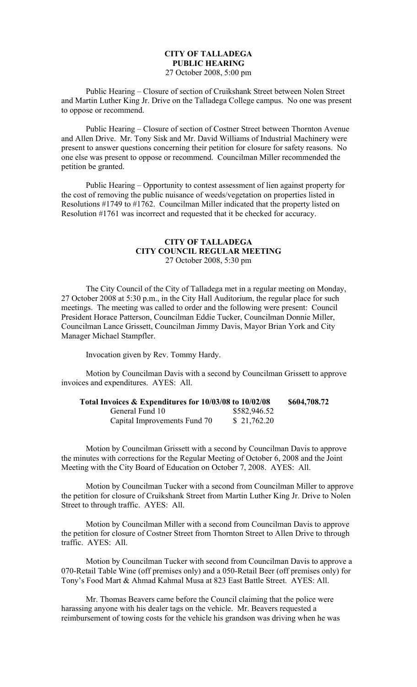# **CITY OF TALLADEGA PUBLIC HEARING** 27 October 2008, 5:00 pm

Public Hearing – Closure of section of Cruikshank Street between Nolen Street and Martin Luther King Jr. Drive on the Talladega College campus. No one was present to oppose or recommend.

Public Hearing – Closure of section of Costner Street between Thornton Avenue and Allen Drive. Mr. Tony Sisk and Mr. David Williams of Industrial Machinery were present to answer questions concerning their petition for closure for safety reasons. No one else was present to oppose or recommend. Councilman Miller recommended the petition be granted.

Public Hearing – Opportunity to contest assessment of lien against property for the cost of removing the public nuisance of weeds/vegetation on properties listed in Resolutions #1749 to #1762. Councilman Miller indicated that the property listed on Resolution #1761 was incorrect and requested that it be checked for accuracy.

## **CITY OF TALLADEGA CITY COUNCIL REGULAR MEETING** 27 October 2008, 5:30 pm

The City Council of the City of Talladega met in a regular meeting on Monday, 27 October 2008 at 5:30 p.m., in the City Hall Auditorium, the regular place for such meetings. The meeting was called to order and the following were present: Council President Horace Patterson, Councilman Eddie Tucker, Councilman Donnie Miller, Councilman Lance Grissett, Councilman Jimmy Davis, Mayor Brian York and City Manager Michael Stampfler.

Invocation given by Rev. Tommy Hardy.

Motion by Councilman Davis with a second by Councilman Grissett to approve invoices and expenditures. AYES: All.

| Total Invoices & Expenditures for 10/03/08 to 10/02/08 |              | \$604,708.72 |
|--------------------------------------------------------|--------------|--------------|
| General Fund 10                                        | \$582,946.52 |              |
| Capital Improvements Fund 70                           | \$21,762.20  |              |

Motion by Councilman Grissett with a second by Councilman Davis to approve the minutes with corrections for the Regular Meeting of October 6, 2008 and the Joint Meeting with the City Board of Education on October 7, 2008. AYES: All.

Motion by Councilman Tucker with a second from Councilman Miller to approve the petition for closure of Cruikshank Street from Martin Luther King Jr. Drive to Nolen Street to through traffic. AYES: All.

Motion by Councilman Miller with a second from Councilman Davis to approve the petition for closure of Costner Street from Thornton Street to Allen Drive to through traffic. AYES: All.

Motion by Councilman Tucker with second from Councilman Davis to approve a 070-Retail Table Wine (off premises only) and a 050-Retail Beer (off premises only) for Tony's Food Mart & Ahmad Kahmal Musa at 823 East Battle Street. AYES: All.

Mr. Thomas Beavers came before the Council claiming that the police were harassing anyone with his dealer tags on the vehicle. Mr. Beavers requested a reimbursement of towing costs for the vehicle his grandson was driving when he was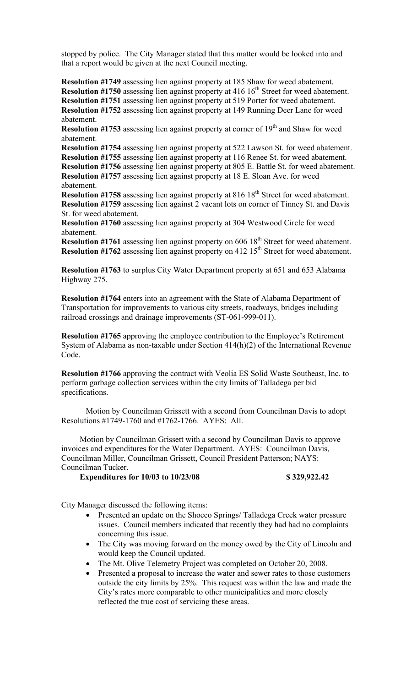stopped by police. The City Manager stated that this matter would be looked into and that a report would be given at the next Council meeting.

**Resolution #1749** assessing lien against property at 185 Shaw for weed abatement. **Resolution #1750** assessing lien against property at 416 16<sup>th</sup> Street for weed abatement. **Resolution #1751** assessing lien against property at 519 Porter for weed abatement. **Resolution #1752** assessing lien against property at 149 Running Deer Lane for weed abatement.

**Resolution #1753** assessing lien against property at corner of  $19<sup>th</sup>$  and Shaw for weed abatement.

**Resolution #1754** assessing lien against property at 522 Lawson St. for weed abatement. **Resolution #1755** assessing lien against property at 116 Renee St. for weed abatement. **Resolution #1756** assessing lien against property at 805 E. Battle St. for weed abatement. **Resolution #1757** assessing lien against property at 18 E. Sloan Ave. for weed

abatement. **Resolution #1758** assessing lien against property at 816 18<sup>th</sup> Street for weed abatement.

**Resolution #1759** assessing lien against 2 vacant lots on corner of Tinney St. and Davis St. for weed abatement.

**Resolution #1760** assessing lien against property at 304 Westwood Circle for weed abatement.

**Resolution #1761** assessing lien against property on 606 18<sup>th</sup> Street for weed abatement. **Resolution #1762** assessing lien against property on 412 15<sup>th</sup> Street for weed abatement.

**Resolution #1763** to surplus City Water Department property at 651 and 653 Alabama Highway 275.

**Resolution #1764** enters into an agreement with the State of Alabama Department of Transportation for improvements to various city streets, roadways, bridges including railroad crossings and drainage improvements (ST-061-999-011).

**Resolution #1765** approving the employee contribution to the Employee's Retirement System of Alabama as non-taxable under Section 414(h)(2) of the International Revenue Code.

**Resolution #1766** approving the contract with Veolia ES Solid Waste Southeast, Inc. to perform garbage collection services within the city limits of Talladega per bid specifications.

Motion by Councilman Grissett with a second from Councilman Davis to adopt Resolutions #1749-1760 and #1762-1766. AYES: All.

Motion by Councilman Grissett with a second by Councilman Davis to approve invoices and expenditures for the Water Department. AYES: Councilman Davis, Councilman Miller, Councilman Grissett, Council President Patterson; NAYS: Councilman Tucker.

### **Expenditures for 10/03 to 10/23/08 \$ 329,922.42**

City Manager discussed the following items:

- Presented an update on the Shocco Springs/ Talladega Creek water pressure issues. Council members indicated that recently they had had no complaints concerning this issue.
- The City was moving forward on the money owed by the City of Lincoln and would keep the Council updated.
- The Mt. Olive Telemetry Project was completed on October 20, 2008.
- Presented a proposal to increase the water and sewer rates to those customers outside the city limits by 25%. This request was within the law and made the City's rates more comparable to other municipalities and more closely reflected the true cost of servicing these areas.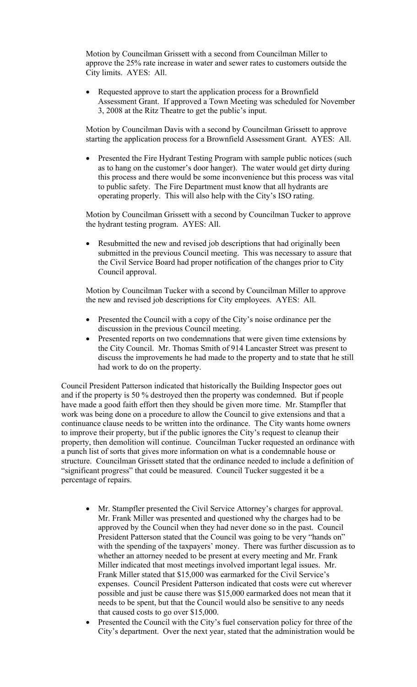Motion by Councilman Grissett with a second from Councilman Miller to approve the 25% rate increase in water and sewer rates to customers outside the City limits. AYES: All.

 Requested approve to start the application process for a Brownfield Assessment Grant. If approved a Town Meeting was scheduled for November 3, 2008 at the Ritz Theatre to get the public's input.

Motion by Councilman Davis with a second by Councilman Grissett to approve starting the application process for a Brownfield Assessment Grant. AYES: All.

 Presented the Fire Hydrant Testing Program with sample public notices (such as to hang on the customer's door hanger). The water would get dirty during this process and there would be some inconvenience but this process was vital to public safety. The Fire Department must know that all hydrants are operating properly. This will also help with the City's ISO rating.

Motion by Councilman Grissett with a second by Councilman Tucker to approve the hydrant testing program. AYES: All.

• Resubmitted the new and revised job descriptions that had originally been submitted in the previous Council meeting. This was necessary to assure that the Civil Service Board had proper notification of the changes prior to City Council approval.

Motion by Councilman Tucker with a second by Councilman Miller to approve the new and revised job descriptions for City employees. AYES: All.

- Presented the Council with a copy of the City's noise ordinance per the discussion in the previous Council meeting.
- Presented reports on two condemnations that were given time extensions by the City Council. Mr. Thomas Smith of 914 Lancaster Street was present to discuss the improvements he had made to the property and to state that he still had work to do on the property.

Council President Patterson indicated that historically the Building Inspector goes out and if the property is 50 % destroyed then the property was condemned. But if people have made a good faith effort then they should be given more time. Mr. Stampfler that work was being done on a procedure to allow the Council to give extensions and that a continuance clause needs to be written into the ordinance. The City wants home owners to improve their property, but if the public ignores the City's request to cleanup their property, then demolition will continue. Councilman Tucker requested an ordinance with a punch list of sorts that gives more information on what is a condemnable house or structure. Councilman Grissett stated that the ordinance needed to include a definition of "significant progress" that could be measured. Council Tucker suggested it be a percentage of repairs.

- Mr. Stampfler presented the Civil Service Attorney's charges for approval. Mr. Frank Miller was presented and questioned why the charges had to be approved by the Council when they had never done so in the past. Council President Patterson stated that the Council was going to be very "hands on" with the spending of the taxpayers' money. There was further discussion as to whether an attorney needed to be present at every meeting and Mr. Frank Miller indicated that most meetings involved important legal issues. Mr. Frank Miller stated that \$15,000 was earmarked for the Civil Service's expenses. Council President Patterson indicated that costs were cut wherever possible and just be cause there was \$15,000 earmarked does not mean that it needs to be spent, but that the Council would also be sensitive to any needs that caused costs to go over \$15,000.
- Presented the Council with the City's fuel conservation policy for three of the City's department. Over the next year, stated that the administration would be